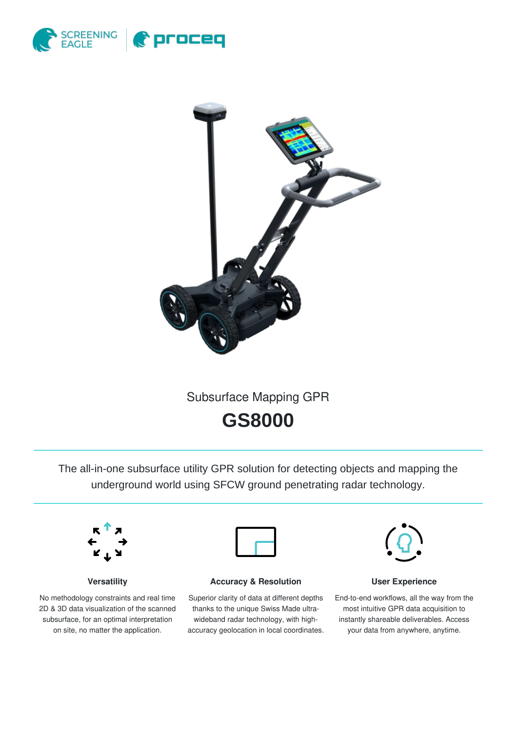



Subsurface Mapping GPR

**GS8000**

The all-in-one subsurface utility GPR solution for detecting objects and mapping the underground world using SFCW ground penetrating radar technology.



**Versatility**

No methodology constraints and real time 2D & 3D data visualization of the scanned subsurface, for an optimal interpretation on site, no matter the application.



**Accuracy & Resolution**

Superior clarity of data at different depths thanks to the unique Swiss Made ultrawideband radar technology, with highaccuracy geolocation in local coordinates.



**User Experience**

End-to-end workflows, all the way from the most intuitive GPR data acquisition to instantly shareable deliverables. Access your data from anywhere, anytime.